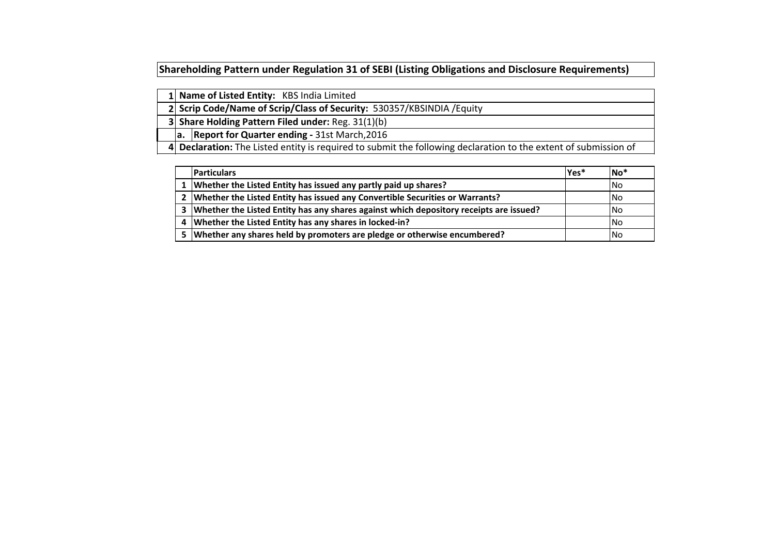**Shareholding Pattern under Regulation 31 of SEBI (Listing Obligations and Disclosure Requirements)** 

|  | 1 Name of Listed Entity: KBS India Limited |  |
|--|--------------------------------------------|--|
|--|--------------------------------------------|--|

 **Scrip Code/Name of Scrip/Class of Security:** 530357/KBSINDIA /Equity

 **Share Holding Pattern Filed under:** Reg. 31(1)(b)

**a. Report for Quarter ending -** 31st March,2016

 **Declaration:** The Listed entity is required to submit the following declaration to the extent of submission of

|   | <b>Particulars</b>                                                                         | lYes* | lNo <sup>*</sup> |
|---|--------------------------------------------------------------------------------------------|-------|------------------|
|   | Whether the Listed Entity has issued any partly paid up shares?                            |       | <b>INo</b>       |
|   | 2   Whether the Listed Entity has issued any Convertible Securities or Warrants?           |       | INo.             |
|   | 3   Whether the Listed Entity has any shares against which depository receipts are issued? |       | <b>INo</b>       |
| 4 | Whether the Listed Entity has any shares in locked-in?                                     |       | <b>INo</b>       |
|   | 5   Whether any shares held by promoters are pledge or otherwise encumbered?               |       | INo.             |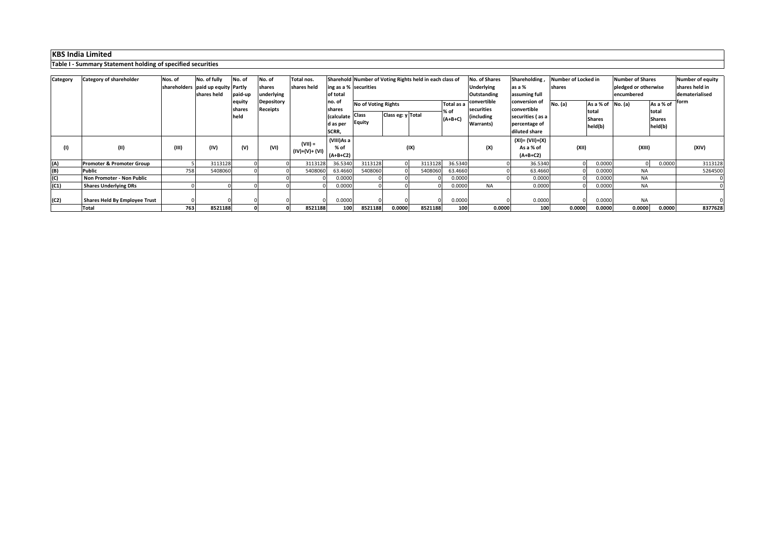|                 | <b>Table 1 - Summary Statement Holding or Specified Securities</b> |         |                                                                       |                   |                                |                             |                                      |                     |                   |                                                         |                    |                                                          |                                            |                               |                    |                                                               |                                   |                                                      |
|-----------------|--------------------------------------------------------------------|---------|-----------------------------------------------------------------------|-------------------|--------------------------------|-----------------------------|--------------------------------------|---------------------|-------------------|---------------------------------------------------------|--------------------|----------------------------------------------------------|--------------------------------------------|-------------------------------|--------------------|---------------------------------------------------------------|-----------------------------------|------------------------------------------------------|
|                 |                                                                    |         |                                                                       |                   |                                |                             |                                      |                     |                   |                                                         |                    |                                                          |                                            |                               |                    |                                                               |                                   |                                                      |
| <b>Category</b> | <b>Category of shareholder</b>                                     | Nos. of | No. of fully<br>shareholders   paid up equity   Partly<br>shares held | No. of<br>paid-up | No. of<br>shares<br>underlying | Total nos.<br>shares held   | $\log$ as a % securities<br>of total |                     |                   | Sharehold Number of Voting Rights held in each class of |                    | No. of Shares<br><b>Underlying</b><br><b>Outstanding</b> | Shareholding,<br>as a %<br>assuming full   | Number of Locked in<br>shares |                    | <b>Number of Shares</b><br>pledged or otherwise<br>encumbered |                                   | Number of equity<br>shares held in<br>dematerialised |
|                 |                                                                    |         |                                                                       | equity<br>shares  | Depository<br>Receipts         |                             | no. of<br>shares                     | No of Voting Rights |                   |                                                         | Total as a<br>% of | convertible<br>securities                                | conversion of<br>convertible               | <b>No.</b> (a)                | As a % of<br>total | No. (a)                                                       | <b>form</b><br>As a % of<br>total |                                                      |
|                 |                                                                    |         |                                                                       | held              |                                |                             | I(calculate Class<br>d as per        | <b>Equity</b>       | Class eg: y Total |                                                         | $(A+B+C)$          | including<br><b>Warrants</b> )                           | securities (as a<br>percentage of          | <b>Shares</b><br>held(b)      |                    |                                                               | <b>Shares</b><br>held(b)          |                                                      |
|                 |                                                                    |         |                                                                       |                   |                                |                             | SCRR,                                |                     |                   |                                                         |                    |                                                          | diluted share                              |                               |                    |                                                               |                                   |                                                      |
| (1)             | (11)                                                               | (III)   | (IV)                                                                  | (V)               | (VI)                           | $(VII) =$<br>$(IV)+(V)+(V)$ | (VIII)As a<br>$%$ of<br>$(A+B+C2)$   |                     |                   | (IX)                                                    |                    | (X)                                                      | (XI)= (VII)+(X)<br>As a % of<br>$(A+B+C2)$ | (XII)                         |                    | (XIII)                                                        |                                   | (XIV)                                                |
| (A)             | <b>Promoter &amp; Promoter Group</b>                               |         | 3113128                                                               |                   |                                | 3113128                     | 36.5340                              | 3113128             |                   | 3113128                                                 | 36.5340            |                                                          | 36.5340                                    |                               | 0.0000             | - OI                                                          | 0.0000                            | 3113128                                              |
| (B)             | <b>Public</b>                                                      | 758     | 5408060                                                               |                   |                                | 5408060                     | 63.4660                              | 5408060             |                   | 5408060                                                 | 63.4660            |                                                          | 63.4660                                    |                               | 0.0000             | <b>NA</b>                                                     |                                   | 5264500                                              |
| (C)             | Non Promoter - Non Public                                          |         |                                                                       |                   |                                |                             | 0.0000                               |                     |                   |                                                         | 0.0000             |                                                          | 0.0000                                     |                               | 0.0000             | <b>NA</b>                                                     |                                   |                                                      |
| (C1)            | <b>Shares Underlying DRs</b>                                       |         |                                                                       |                   |                                |                             | 0.0000                               |                     |                   |                                                         | 0.0000             | <b>NA</b>                                                | 0.0000                                     |                               | 0.0000             | <b>NA</b>                                                     |                                   |                                                      |
| (C2)            | <b>Shares Held By Employee Trust</b>                               |         |                                                                       |                   |                                |                             | 0.0000                               |                     |                   |                                                         | 0.0000             |                                                          | 0.0000                                     |                               | 0.0000             | <b>NA</b>                                                     |                                   |                                                      |
|                 | <b>Total</b>                                                       | 763     | 8521188                                                               |                   |                                | 8521188                     | 100                                  | 8521188             | 0.0000            | 8521188                                                 | 100                | 0.0000                                                   | 100                                        | 0.0000                        | 0.0000             | 0.0000                                                        | 0.0000                            | 8377628                                              |

**Table I - Summary Statement holding of specified securities**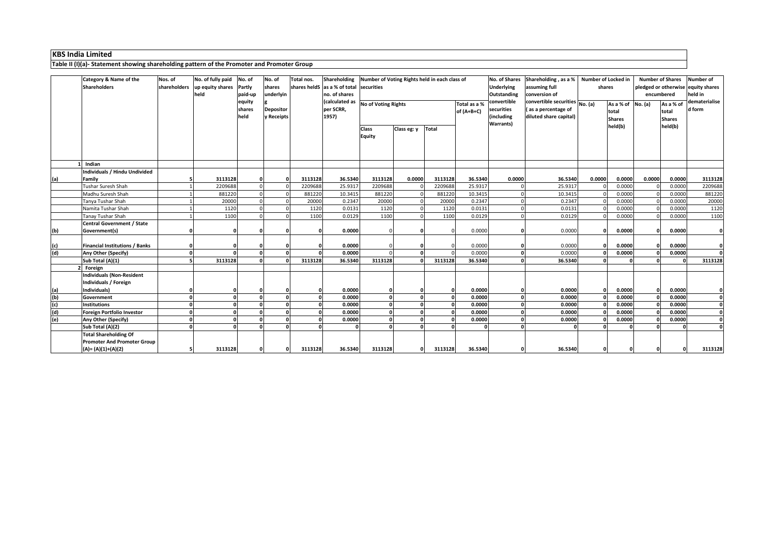|     | <b>Category &amp; Name of the</b><br>Shareholders         | Nos. of<br>shareholders | No. of fully paid<br>up equity shares<br>held | No. of<br><b>Partly</b><br>paid-up | No. of<br>shares<br>underlyin  | Total nos. | Shareholding<br>shares held $\vert$ as a % of total securities<br>no. of shares | Number of Voting Rights held in each class of |             |              |                              | No. of Shares<br><b>Underlying</b><br>Outstanding<br>convertible<br>securities<br>(including | Shareholding, as a %<br>assuming full<br>conversion of                                           |          | <b>Number of Locked in</b><br>shares                                   |        | <b>Number of Shares</b><br>encumbered | Number of<br>pledged or otherwise equity shares<br>held in |
|-----|-----------------------------------------------------------|-------------------------|-----------------------------------------------|------------------------------------|--------------------------------|------------|---------------------------------------------------------------------------------|-----------------------------------------------|-------------|--------------|------------------------------|----------------------------------------------------------------------------------------------|--------------------------------------------------------------------------------------------------|----------|------------------------------------------------------------------------|--------|---------------------------------------|------------------------------------------------------------|
|     |                                                           |                         |                                               | equity<br>shares<br>held           | <b>Depositor</b><br>y Receipts |            | (calculated as<br>per SCRR,<br>1957)                                            | <b>No of Voting Rights</b>                    |             |              | Total as a %<br>$of (A+B+C)$ |                                                                                              | convertible securities $\boxed{\text{No. (a)}}$<br>(as a percentage of<br>diluted share capital) |          | $\overline{As}$ a % of $\overline{No}$ . (a)<br>total<br><b>Shares</b> |        | As a % of<br>total<br><b>Shares</b>   | dematerialise<br>d form                                    |
|     |                                                           |                         |                                               |                                    |                                |            |                                                                                 | <b>Class</b><br><b>Equity</b>                 | Class eg: y | <b>Total</b> |                              | <b>Warrants)</b>                                                                             |                                                                                                  |          | held(b)                                                                |        | held(b)                               |                                                            |
|     | Indian                                                    |                         |                                               |                                    |                                |            |                                                                                 |                                               |             |              |                              |                                                                                              |                                                                                                  |          |                                                                        |        |                                       |                                                            |
| (a) | Individuals / Hindu Undivided<br>Family                   |                         | 3113128                                       |                                    |                                | 3113128    | 36.5340                                                                         | 3113128                                       | 0.0000      | 3113128      | 36.5340                      | 0.0000                                                                                       | 36.5340                                                                                          | 0.0000   | 0.0000                                                                 | 0.0000 | 0.0000                                | 3113128                                                    |
|     | Tushar Suresh Shah                                        |                         | 2209688                                       |                                    |                                | 2209688    | 25.9317                                                                         | 2209688                                       |             | 2209688      | 25.9317                      |                                                                                              | 25.9317                                                                                          |          | 0.0000                                                                 |        | 0.0000                                | 2209688                                                    |
|     | Madhu Suresh Shah                                         |                         | 881220                                        |                                    |                                | 881220     | 10.3415                                                                         | 881220                                        |             | 881220       | 10.3415                      |                                                                                              | 10.3415                                                                                          |          | 0.0000                                                                 |        | 0.0000                                | 881220                                                     |
|     | Tanya Tushar Shah                                         |                         | 20000                                         |                                    |                                | 20000      | 0.2347                                                                          | 20000                                         |             | 20000        | 0.2347                       |                                                                                              | 0.2347                                                                                           |          | 0.0000                                                                 |        | 0.0000                                | 20000                                                      |
|     | Namita Tushar Shah                                        |                         | 1120                                          |                                    |                                | 1120       | 0.0131                                                                          | 1120                                          |             | 1120         | 0.0131                       |                                                                                              | 0.0131                                                                                           |          | 0.0000                                                                 |        | 0.0000                                | 1120                                                       |
|     | <b>Tanay Tushar Shah</b>                                  |                         | 1100                                          |                                    |                                | 1100       | 0.0129                                                                          | 1100                                          |             | 1100         | 0.0129                       |                                                                                              | 0.0129                                                                                           |          | 0.0000                                                                 |        | 0.0000                                | 1100                                                       |
|     | Central Government / State                                |                         |                                               |                                    |                                |            |                                                                                 |                                               |             |              |                              |                                                                                              |                                                                                                  |          |                                                                        |        |                                       |                                                            |
| (b) | Government(s)                                             |                         |                                               |                                    |                                |            | 0.0000                                                                          |                                               |             |              | 0.0000                       |                                                                                              | 0.0000                                                                                           |          | 0.0000                                                                 |        | 0.0000                                | $\mathbf{0}$                                               |
| (c) | <b>Financial Institutions / Banks</b>                     |                         |                                               |                                    |                                |            | 0.0000                                                                          |                                               |             |              | 0.0000                       |                                                                                              | 0.0000                                                                                           |          | 0.0000                                                                 |        | 0.0000                                |                                                            |
| (d) | Any Other (Specify)                                       |                         |                                               |                                    |                                |            | 0.0000                                                                          |                                               |             |              | 0.0000                       |                                                                                              | 0.0000                                                                                           |          | 0.0000                                                                 |        | 0.0000                                | $\mathbf{0}$                                               |
|     | Sub Total (A)(1)                                          |                         | 3113128                                       |                                    |                                | 3113128    | 36.5340                                                                         | 3113128                                       |             | 3113128      | 36.5340                      |                                                                                              | 36.5340                                                                                          |          |                                                                        |        |                                       | 3113128                                                    |
|     | Foreign                                                   |                         |                                               |                                    |                                |            |                                                                                 |                                               |             |              |                              |                                                                                              |                                                                                                  |          |                                                                        |        |                                       |                                                            |
|     | Individuals (Non-Resident<br>Individuals / Foreign        |                         |                                               |                                    |                                |            |                                                                                 |                                               |             |              |                              |                                                                                              |                                                                                                  |          |                                                                        |        |                                       |                                                            |
|     | Individuals)                                              |                         |                                               |                                    |                                |            | 0.0000                                                                          |                                               |             | - Ol         | 0.0000                       |                                                                                              | 0.0000                                                                                           |          | 0.0000                                                                 |        | 0.0000                                |                                                            |
| (b) | Government                                                |                         |                                               |                                    |                                |            | 0.0000                                                                          |                                               |             |              | 0.0000                       |                                                                                              | 0.0000                                                                                           |          | 0.0000                                                                 |        | 0.0000                                | 0                                                          |
| (C) | Institutions                                              |                         | 0I                                            |                                    |                                |            | 0.0000                                                                          |                                               |             |              | 0.0000                       | <b>01</b>                                                                                    | 0.0000                                                                                           | 0        | 0.0000                                                                 | ΩI     | 0.0000                                |                                                            |
| (d) | <b>Foreign Portfolio Investor</b>                         |                         |                                               |                                    | $\Omega$                       |            | 0.0000                                                                          |                                               |             |              | 0.0000                       |                                                                                              | 0.0000                                                                                           |          | 0.0000                                                                 |        | 0.0000                                | 0                                                          |
| (e) | <b>Any Other (Specify)</b>                                |                         |                                               |                                    |                                |            | 0.0000                                                                          |                                               |             |              | 0.0000                       |                                                                                              | 0.0000                                                                                           |          | 0.0000                                                                 |        | 0.0000                                | $\mathbf{0}$                                               |
|     | Sub Total $(A)(2)$                                        |                         |                                               |                                    | $\Omega$                       |            |                                                                                 |                                               |             | $\Omega$     |                              |                                                                                              |                                                                                                  |          |                                                                        |        |                                       | $\mathbf{0}$                                               |
|     | <b>Total Shareholding Of</b>                              |                         |                                               |                                    |                                |            |                                                                                 |                                               |             |              |                              |                                                                                              |                                                                                                  |          |                                                                        |        |                                       |                                                            |
|     | <b>Promoter And Promoter Group</b><br>$(A)=(A)(1)+(A)(2)$ |                         | 3113128                                       |                                    |                                | 3113128    | 36.5340                                                                         | 3113128                                       | 0l          | 3113128      | 36.5340                      | $\Omega$                                                                                     | 36.5340                                                                                          | $\Omega$ |                                                                        |        |                                       | 3113128                                                    |

**Table II (I)(a)- Statement showing shareholding pattern of the Promoter and Promoter Group**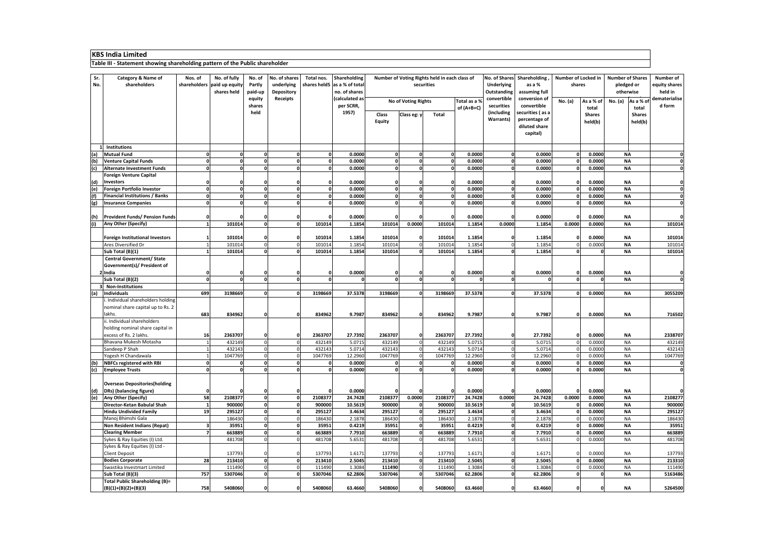|            | NUJ 111919 LIIIIILU<br>Table III - Statement showing shareholding pattern of the Public shareholder |         |                                                            |                             |                                                  |               |                                                               |                               |                            |                                                             |                              |                                  |                                                                |                                                  |                          |                         |                          |                                              |
|------------|-----------------------------------------------------------------------------------------------------|---------|------------------------------------------------------------|-----------------------------|--------------------------------------------------|---------------|---------------------------------------------------------------|-------------------------------|----------------------------|-------------------------------------------------------------|------------------------------|----------------------------------|----------------------------------------------------------------|--------------------------------------------------|--------------------------|-------------------------|--------------------------|----------------------------------------------|
| Sr.<br>No. | <b>Category &amp; Name of</b><br>shareholders                                                       | Nos. of | No. of fully<br>shareholders paid up equity<br>shares held | No. of<br>Partly<br>paid-up | No. of shares<br>underlying<br><b>Depository</b> | Total nos.    | Shareholding<br>shares heldS as a % of total<br>no. of shares |                               |                            | Number of Voting Rights held in each class of<br>securities |                              | <b>Underlying</b><br>Outstanding | No. of Shares Shareholding<br>as a %<br>assuming full          | Number of Locked in   Number of Shares<br>shares |                          | pledged or<br>otherwise |                          | <b>Number of</b><br>equity shares<br>held in |
|            |                                                                                                     |         |                                                            | equity<br>shares            | <b>Receipts</b>                                  |               | (calculated as<br>per SCRR,                                   |                               | <b>No of Voting Rights</b> |                                                             | Total as a %<br>of $(A+B+C)$ | convertible<br>securities        | conversion of<br>convertible                                   | No. (a)                                          | As a % of<br>total       | No. (a)                 | As a % of<br>total       | dematerialise<br>d form                      |
|            |                                                                                                     |         |                                                            | held                        |                                                  |               | 1957)                                                         | <b>Class</b><br><b>Equity</b> | Class eg: y                | <b>Total</b>                                                |                              | (including<br><b>Warrants</b> )  | securities (as a<br>percentage of<br>diluted share<br>capital) |                                                  | <b>Shares</b><br>held(b) |                         | <b>Shares</b><br>held(b) |                                              |
|            | <b>Institutions</b>                                                                                 |         |                                                            |                             |                                                  |               |                                                               |                               |                            |                                                             |                              |                                  |                                                                |                                                  |                          |                         |                          |                                              |
| (a)        | <b>Mutual Fund</b>                                                                                  |         |                                                            |                             |                                                  | $\Omega$      | 0.0000                                                        |                               |                            |                                                             | 0.0000                       |                                  | 0.0000                                                         |                                                  | 0.0000                   | <b>NA</b>               |                          |                                              |
| (b)        | <b>Venture Capital Funds</b>                                                                        |         |                                                            |                             | $\Omega$                                         |               | 0.0000                                                        |                               |                            |                                                             | 0.0000                       |                                  | 0.0000                                                         |                                                  | 0.0000                   | <b>NA</b>               |                          |                                              |
| (c)        | <b>Alternate Investment Funds</b>                                                                   |         |                                                            |                             |                                                  |               | 0.0000                                                        |                               |                            |                                                             | 0.0000                       |                                  | 0.0000                                                         |                                                  | 0.0000                   | <b>NA</b>               |                          |                                              |
| (d)        | <b>Foreign Venture Capital</b><br><b>Investors</b>                                                  |         |                                                            |                             |                                                  |               | 0.0000                                                        |                               |                            |                                                             | 0.0000                       |                                  | 0.0000                                                         |                                                  | 0.0000                   | <b>NA</b>               |                          |                                              |
| (e)        | Foreign Portfolio Investor                                                                          |         |                                                            |                             |                                                  |               | 0.0000                                                        |                               |                            |                                                             | 0.0000                       |                                  | 0.0000                                                         |                                                  | 0.0000                   | <b>NA</b>               |                          |                                              |
| (f)        | <b>Financial Institutions / Banks</b>                                                               |         |                                                            |                             |                                                  |               | 0.0000                                                        |                               |                            |                                                             | 0.0000                       |                                  | 0.0000                                                         |                                                  | 0.0000                   | <b>NA</b>               |                          |                                              |
| (g)        | <b>Insurance Companies</b>                                                                          |         |                                                            |                             |                                                  |               | 0.0000                                                        |                               |                            |                                                             | 0.0000                       |                                  | 0.0000                                                         |                                                  | 0.0000                   | <b>NA</b>               |                          |                                              |
| (h)        | <b>Provident Funds/ Pension Funds</b>                                                               |         |                                                            |                             |                                                  |               | 0.0000                                                        |                               |                            |                                                             | 0.0000                       |                                  | 0.0000                                                         |                                                  | 0.0000                   | <b>NA</b>               |                          |                                              |
|            | <b>Any Other (Specify)</b>                                                                          |         | 101014                                                     |                             | $\mathbf{0}$<br>$\Omega$                         | 101014        | 1.1854                                                        | 101014                        | 0.0000                     | 101014                                                      | 1.1854                       | 0.0000                           | 1.1854                                                         | 0.0000                                           | 0.0000                   | <b>NA</b>               |                          | 101014                                       |
|            | <b>Foreign Institutional Investors</b>                                                              |         | 101014                                                     |                             |                                                  | 101014        | 1.1854                                                        | 101014                        |                            | 101014                                                      | 1.1854                       |                                  | 1.1854                                                         |                                                  | 0.0000                   | <b>NA</b>               |                          | 101014                                       |
|            | Ares Diversified Dr                                                                                 |         | 101014                                                     |                             | 0                                                | 101014        | 1.1854                                                        | 101014                        |                            | 101014                                                      | 1.1854                       |                                  | 1.1854                                                         |                                                  | 0.0000                   | <b>NA</b>               |                          | 101014                                       |
|            | Sub Total (B)(1)                                                                                    |         | 101014                                                     |                             | $\mathbf{0}$                                     | 101014        | 1.1854                                                        | 101014                        |                            | 101014                                                      | 1.1854                       |                                  | 1.1854                                                         |                                                  |                          | <b>NA</b>               |                          | 101014                                       |
|            | <b>Central Government/ State</b>                                                                    |         |                                                            |                             |                                                  |               |                                                               |                               |                            |                                                             |                              |                                  |                                                                |                                                  |                          |                         |                          |                                              |
|            | Government(s)/ President of<br>! India                                                              |         |                                                            |                             | 01                                               | ΟI            | 0.0000                                                        |                               |                            |                                                             | 0.0000                       |                                  | 0.0000                                                         |                                                  | 0.0000                   | ΝA                      |                          |                                              |
|            | Sub Total (B)(2)                                                                                    |         |                                                            |                             | 0l<br>n                                          |               |                                                               |                               |                            |                                                             |                              |                                  |                                                                |                                                  | $\Omega$                 | <b>NA</b>               |                          |                                              |
|            | <b>Non-Institutions</b>                                                                             |         |                                                            |                             |                                                  |               |                                                               |                               |                            |                                                             |                              |                                  |                                                                |                                                  |                          |                         |                          |                                              |
| (a)        | <b>Individuals</b>                                                                                  | 699     | 3198669                                                    |                             | $\mathbf{0}$<br>$\Omega$                         | 3198669       | 37.5378                                                       | 3198669                       |                            | 3198669                                                     | 37.5378                      |                                  | 37.5378                                                        |                                                  | 0.0000                   | <b>NA</b>               |                          | 3055209                                      |
|            | . Individual shareholders holding<br>nominal share capital up to Rs. 2                              |         |                                                            |                             |                                                  |               |                                                               |                               |                            |                                                             |                              |                                  |                                                                |                                                  |                          |                         |                          |                                              |
|            | lakhs.                                                                                              | 683     | 834962                                                     |                             |                                                  | 834962        | 9.7987                                                        | 834962                        |                            | 834962                                                      | 9.7987                       |                                  | 9.7987                                                         |                                                  | 0.0000                   | <b>NA</b>               |                          | 716502                                       |
|            | ii. Individual shareholders                                                                         |         |                                                            |                             |                                                  |               |                                                               |                               |                            |                                                             |                              |                                  |                                                                |                                                  |                          |                         |                          |                                              |
|            | holding nominal share capital in                                                                    |         |                                                            |                             |                                                  |               |                                                               |                               |                            |                                                             |                              |                                  |                                                                |                                                  |                          |                         |                          |                                              |
|            | excess of Rs. 2 lakhs.                                                                              | 16      | 2363707                                                    |                             |                                                  | 2363707       | 27.7392                                                       | 2363707                       |                            | 2363707                                                     | 27.7392                      |                                  | 27.7392                                                        |                                                  | 0.0000                   | <b>NA</b>               |                          | 2338707                                      |
|            | Bhavana Mukesh Motasha                                                                              |         | 432149                                                     |                             | $\overline{0}$                                   | 432149        | 5.0715                                                        | 432149                        |                            | 432149                                                      | 5.0715                       |                                  | 5.0715                                                         |                                                  | 0.0000                   | <b>NA</b>               |                          | 432149                                       |
|            | Sandeep P Shah                                                                                      |         | 432143                                                     |                             | 0                                                | 432143        | 5.0714                                                        | 432143                        |                            | 432143                                                      | 5.0714                       |                                  | 5.0714                                                         |                                                  | 0.0000                   | <b>NA</b>               |                          | 432143                                       |
|            | Yogesh H Chandawala                                                                                 |         | 1047769                                                    |                             | $\overline{0}$                                   | 1047769       | 12.2960                                                       | 1047769                       |                            | 1047769                                                     | 12.2960                      |                                  | 12.2960                                                        |                                                  | 0.0000                   | <b>NA</b>               |                          | 1047769                                      |
| (b)        | <b>NBFCs registered with RBI</b>                                                                    |         |                                                            | $\Omega$                    | 0l                                               | 0l            | 0.0000                                                        |                               |                            |                                                             | 0.0000                       |                                  | 0.0000                                                         |                                                  | 0.0000                   | <b>NA</b>               |                          |                                              |
| (c)        | <b>Employee Trusts</b><br><b>Overseas Depositories (holding</b>                                     |         |                                                            |                             |                                                  |               | 0.0000                                                        |                               |                            |                                                             | 0.0000                       |                                  | 0.0000                                                         |                                                  | 0.0000                   | <b>NA</b>               |                          |                                              |
| (d)        | DRs) (balancing figure)                                                                             |         |                                                            |                             |                                                  |               | 0.0000                                                        |                               |                            |                                                             | 0.0000                       |                                  | 0.0000                                                         |                                                  | 0.0000                   | <b>NA</b>               |                          |                                              |
| (e)        | <b>Any Other (Specify)</b>                                                                          | 58      | 2108377                                                    |                             | $\mathbf{0}$<br>$\mathbf 0$                      | 2108377       | 24.7428                                                       | 2108377                       | 0.0000                     | 2108377                                                     | 24.7428                      | 0.0000                           | 24.7428                                                        | 0.0000                                           | 0.0000                   | <b>NA</b>               |                          | 2108277                                      |
|            | Director-Ketan Babulal Shah                                                                         |         | 900000                                                     |                             | 0l<br>0l                                         | 900000        | 10.5619                                                       | 900000                        |                            | 900000                                                      | 10.5619                      |                                  | 10.5619                                                        |                                                  | 0.0000                   | <b>NA</b>               |                          | 900000                                       |
|            | <b>Hindu Undivided Family</b>                                                                       | 19      | 295127                                                     |                             | $\mathbf{0}$<br>$\mathbf{0}$                     | 295127        | 3.4634                                                        | 295127                        |                            | 295127                                                      | 3.4634                       |                                  | 3.4634                                                         |                                                  | 0.0000                   | <b>NA</b>               |                          | 295127                                       |
|            | Manoj Bhimshi Gala                                                                                  |         | 186430                                                     |                             | $\overline{0}$                                   | 186430        | 2.1878                                                        | 186430                        |                            | 186430                                                      | 2.1878                       |                                  | 2.1878                                                         |                                                  | 0.0000                   | <b>NA</b>               |                          | 186430                                       |
|            | <b>Non Resident Indians (Repat)</b>                                                                 |         | 35951                                                      |                             | 0l<br>$\Omega$                                   | 35951         | 0.4219                                                        | 35951                         |                            | 35951                                                       | 0.4219                       |                                  | 0.4219                                                         |                                                  | 0.0000                   | <b>NA</b>               |                          | 35951                                        |
|            | <b>Clearing Member</b>                                                                              |         | 663889                                                     |                             | $\mathbf{0}$<br>$\Omega$                         | 663889        | 7.7910                                                        | 663889                        |                            | 663889                                                      | 7.7910                       |                                  | 7.7910                                                         |                                                  | 0.0000                   | <b>NA</b>               |                          | 663889                                       |
|            | Sykes & Ray Equities (I) Ltd.                                                                       |         | 481708                                                     |                             | $\overline{0}$                                   | 481708        | 5.6531                                                        | 481708                        |                            | 481708                                                      | 5.6531                       |                                  | 5.6531                                                         |                                                  | 0.0000                   | <b>NA</b>               |                          | 481708                                       |
|            | Sykes & Ray Equities (I) Ltd -<br><b>Client Deposit</b>                                             |         | 137793                                                     | $\mathbf{0}$                |                                                  | 137793        | 1.6171                                                        | 137793                        |                            | 137793                                                      | 1.6171                       |                                  | 1.6171                                                         |                                                  | 0.0000                   | <b>NA</b>               |                          | 137793                                       |
|            | <b>Bodies Corporate</b>                                                                             | 28      | 213410                                                     |                             | $\mathbf{0}$<br>$\Omega$                         | 213410        | 2.5045                                                        | 213410                        |                            | 213410                                                      | 2.5045                       |                                  | 2.5045                                                         |                                                  | 0.0000                   | <b>NA</b>               |                          | 213310                                       |
|            | Swastika Investmart Limited                                                                         |         | 111490                                                     | $\Omega$                    |                                                  | 111490        | 1.3084                                                        | 111490                        |                            | 111490                                                      | 1.3084                       |                                  | 1.3084                                                         |                                                  | 0.0000                   | <b>NA</b>               |                          | 111490                                       |
|            | Sub Total (B)(3)                                                                                    | 757     | 5307046                                                    |                             | $\mathbf{0}$<br>$\Omega$                         | 5307046       | 62.2806                                                       | 5307046                       |                            | 5307046                                                     | 62.2806                      |                                  | 62.2806                                                        |                                                  |                          | <b>NA</b>               |                          | 5163486                                      |
|            | <b>Total Public Shareholding (B)=</b><br>$(B)(1)+(B)(2)+(B)(3)$                                     | 758     | 5408060                                                    |                             | 0                                                | 0 <br>5408060 | 63.4660                                                       | 5408060                       | 0l                         | 5408060                                                     | 63.4660                      | 0                                | 63.4660                                                        |                                                  | 0                        | 0 <br><b>NA</b>         |                          | 5264500                                      |